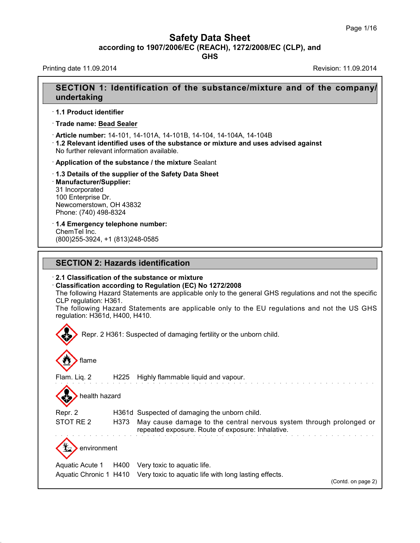**GHS**

Printing date 11.09.2014 **Revision: 11.09.2014** Revision: 11.09.2014

# **SECTION 1: Identification of the substance/mixture and of the company/ undertaking**

· **1.1 Product identifier**

· **Trade name: Bead Sealer**

· **Article number:** 14-101, 14-101A, 14-101B, 14-104, 14-104A, 14-104B

· **1.2 Relevant identified uses of the substance ormixture and uses advised against** No further relevant information available.

· **Application of the substance / the mixture** Sealant

· **1.3 Details of the supplier of the Safety Data Sheet**

· **Manufacturer/Supplier:** 31 Incorporated 100 Enterprise Dr. Newcomerstown, OH 43832 Phone: (740) 498-8324

39.1.1

· **1.4 Emergency telephone number:** ChemTel Inc. (800)255-3924, +1 (813)248-0585

### **SECTION 2: Hazards identification**

· **2.1 Classification of the substance or mixture**

· **Classification according to Regulation (EC) No 1272/2008**

The following Hazard Statements are applicable only to the general GHS regulations and not the specific CLP regulation: H361.

The following Hazard Statements are applicable only to the EU regulations and not the US GHS regulation: H361d, H400, H410.

Repr. 2 H361: Suspected of damaging fertility or the unborn child. flame Flam. Liq. 2 H225 Highly flammable liquid and vapour. health hazard Repr. 2 H361d Suspected of damaging the unborn child. STOT RE 2 H373 May cause damage to the central nervous system through prolonged or repeated exposure. Route of exposure: Inhalative. environment Aquatic Acute 1 H400 Very toxic to aquatic life. Aquatic Chronic 1 H410 Very toxic to aquatic life with long lasting effects.

(Contd. on page 2)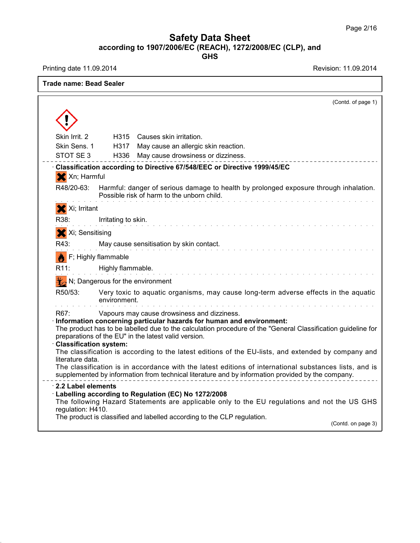Printing date 11.09.2014 **Revision: 11.09.2014** 

39.1.1

| Trade name: Bead Sealer          |                     |                                                                                                                                                                                                                                                                                               |
|----------------------------------|---------------------|-----------------------------------------------------------------------------------------------------------------------------------------------------------------------------------------------------------------------------------------------------------------------------------------------|
|                                  |                     | (Contd. of page 1)                                                                                                                                                                                                                                                                            |
|                                  |                     |                                                                                                                                                                                                                                                                                               |
| Skin Irrit, 2                    |                     | H315 Causes skin irritation.                                                                                                                                                                                                                                                                  |
| Skin Sens. 1                     | H317                | May cause an allergic skin reaction.                                                                                                                                                                                                                                                          |
| STOT SE3                         | H336                | May cause drowsiness or dizziness.                                                                                                                                                                                                                                                            |
| X Xn; Harmful                    |                     | Classification according to Directive 67/548/EEC or Directive 1999/45/EC                                                                                                                                                                                                                      |
| R48/20-63:                       |                     | Harmful: danger of serious damage to health by prolonged exposure through inhalation.<br>Possible risk of harm to the unborn child.                                                                                                                                                           |
| X Xi; Irritant                   |                     |                                                                                                                                                                                                                                                                                               |
| R38:                             | Irritating to skin. |                                                                                                                                                                                                                                                                                               |
| X Xi; Sensitising                |                     |                                                                                                                                                                                                                                                                                               |
| R43:                             |                     | May cause sensitisation by skin contact.                                                                                                                                                                                                                                                      |
|                                  | F; Highly flammable |                                                                                                                                                                                                                                                                                               |
| R11:                             | Highly flammable.   |                                                                                                                                                                                                                                                                                               |
|                                  |                     |                                                                                                                                                                                                                                                                                               |
|                                  |                     | $\mathcal{H}_{\mathcal{A}}$ N; Dangerous for the environment                                                                                                                                                                                                                                  |
| R50/53:                          | environment.        | Very toxic to aquatic organisms, may cause long-term adverse effects in the aquatic                                                                                                                                                                                                           |
| R67.<br>· Classification system: |                     | Vapours may cause drowsiness and dizziness.<br>· Information concerning particular hazards for human and environment:<br>The product has to be labelled due to the calculation procedure of the "General Classification guideline for<br>preparations of the EU" in the latest valid version. |
| literature data.                 |                     | The classification is according to the latest editions of the EU-lists, and extended by company and                                                                                                                                                                                           |
|                                  |                     | The classification is in accordance with the latest editions of international substances lists, and is<br>supplemented by information from technical literature and by information provided by the company.                                                                                   |
| $\cdot$ 2.2 Label elements       |                     | Labelling according to Regulation (EC) No 1272/2008<br>The following Hazard Statements are applicable only to the EU regulations and not the US GHS                                                                                                                                           |
| regulation: H410.                |                     | The product is classified and labelled according to the CLP regulation.<br>(Contd. on page 3)                                                                                                                                                                                                 |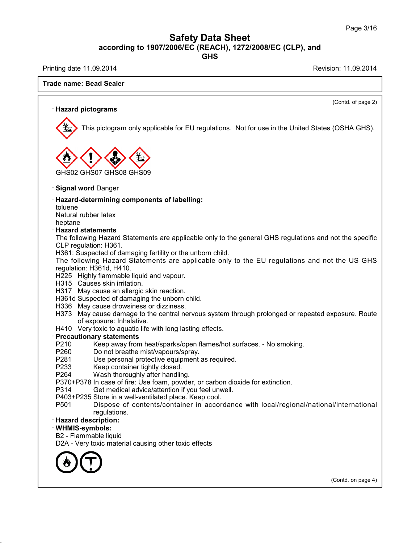**GHS**

Printing date 11.09.2014 **Printing date 11.09.2014** 

39.1.1

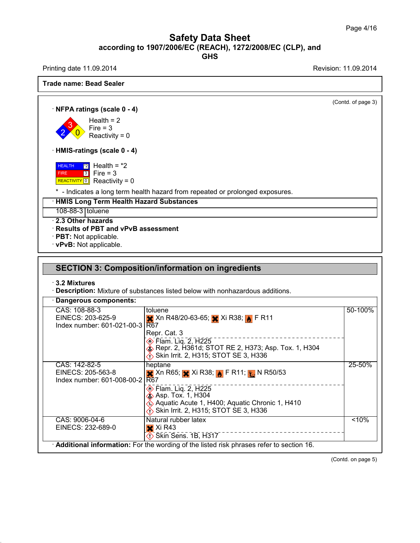Printing date 11.09.2014 **Printing date 11.09.2014** 

39.1.1

**Trade name: Bead Sealer** (Contd. of page 3) · **NFPA ratings (scale 0 - 4)**  $2 \times 0$  Reactivity = 0  $3 \times 10^{10}$  Fire = 3 Health  $= 2$ · **HMIS-ratings (scale 0 - 4)** HEALTH FIRE  $3$  Fire = 3 **REALTH 2** Health = \*2<br>FIRE 3 Fire = 3<br>REACTIVITY 0 Reactivity = 0  $\boxed{2}$  Health =  $*2$ \* - Indicates a long term health hazard from repeated or prolonged exposures. · **HMIS Long Term Health Hazard Substances** 108-88-3 toluene · **2.3 Other hazards** · **Results of PBT and vPvB assessment** · **PBT:** Not applicable. · **vPvB:** Not applicable. **SECTION 3: Composition/information on ingredients** · **3.2 Mixtures** · **Description:** Mixture of substances listed below with nonhazardous additions. · **Dangerous components:** CAS: 108-88-3 EINECS: 203-625-9 Index number: 601-021-00-3 toluene Xn R48/20-63-65; Xi R38; F R11 R67 Repr. Cat. 3 Flam. Liq. 2, H225 Repr. 2, H361d; STOT RE 2, H373; Asp. Tox. 1, H304 **Skin Irrit. 2, H315; STOT SE 3, H336** 50-100% CAS: 142-82-5 EINECS: 205-563-8 Index number: 601-008-00-2 heptane Xn R65; Xi R38; F R11;N R50/53 R67 –  $\circledS$  Flam. Liq. 2, H225 **External Asp. Tox. 1, H304** Aquatic Acute 1, H400; Aquatic Chronic 1, H410 Skin Irrit.2, H315; STOT SE 3, H336 25-50% CAS: 9006-04-6 EINECS: 232-689-0 Natural rubber latex  $\overline{\mathsf{x}}$  Xi R43  $\diamondsuit$  Skin Sens. 1B, H317  $5 - 10%$ · **Additional information:** For the wording of the listed risk phrases refer to section 16.

(Contd. on page 5)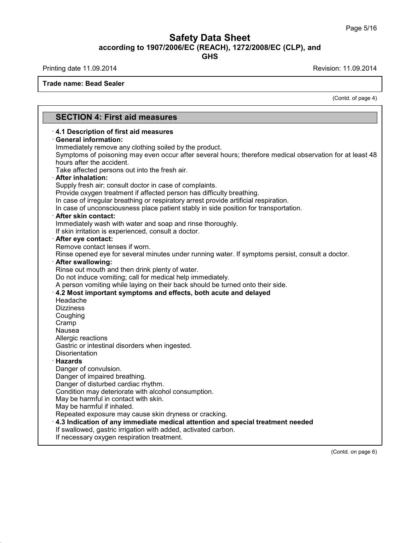**GHS**

Printing date 11.09.2014 **Printing date 11.09.2014** 

39.1.1

**Trade name: Bead Sealer**

(Contd. of page 4)

#### **SECTION 4: First aid measures** · **4.1 Description of first aid measures** · **General information:** Immediately remove any clothing soiled by the product. Symptoms of poisoning may even occur after several hours; therefore medical observation for at least 48 hours after the accident. Take affected persons out into the fresh air. · **After inhalation:** Supply fresh air; consult doctor in case of complaints. Provide oxygen treatment if affected person has difficulty breathing. In case of irregular breathing or respiratory arrest provide artificial respiration. In case of unconsciousness place patient stably in side position for transportation. · **After skin contact:** Immediately wash with water and soap and rinse thoroughly. If skin irritation is experienced, consult a doctor. · **After eye contact:** Remove contact lenses if worn. Rinse opened eye for several minutes under running water. If symptoms persist, consult a doctor. · **After swallowing:** Rinse out mouth and then drink plenty of water. Do not induce vomiting; call for medical help immediately. A person vomiting while laying on their back should be turned onto their side. · **4.2 Most important symptoms and effects, both acute and delayed** Headache **Dizziness** Coughing Cramp Nausea Allergic reactions Gastric or intestinal disorders when ingested. **Disorientation** · **Hazards** Danger of convulsion. Danger of impaired breathing. Danger of disturbed cardiac rhythm. Condition may deteriorate with alcohol consumption. May be harmful in contact with skin. May be harmful if inhaled. Repeated exposure may cause skin dryness or cracking. · **4.3 Indication of any immediate medical attention and special treatment needed** If swallowed, gastric irrigation with added, activated carbon. If necessary oxygen respiration treatment.

(Contd. on page 6)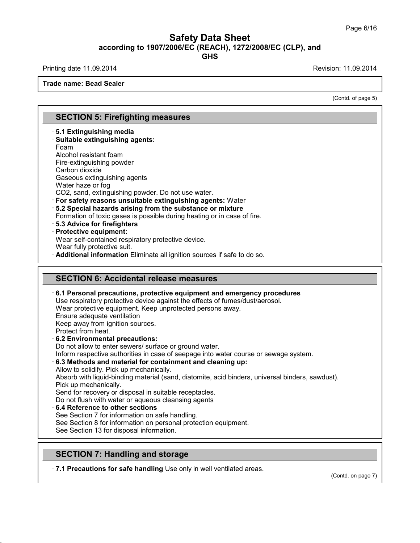**GHS**

Printing date 11.09.2014 **Revision: 11.09.2014** Revision: 11.09.2014

**Trade name: Bead Sealer**

(Contd. of page 5)

### **SECTION 5: Firefighting measures**

· **5.1 Extinguishing media** · **Suitable extinguishing agents:** Foam Alcohol resistant foam Fire-extinguishing powder Carbon dioxide Gaseous extinguishing agents Water haze or fog CO2, sand, extinguishing powder. Do not use water. · **For safety reasons unsuitable extinguishing agents:** Water · **5.2 Special hazards arising from the substance ormixture** Formation of toxic gases is possible during heating or in case of fire. · **5.3 Advice for firefighters** · **Protective equipment:** Wear self-contained respiratory protective device. Wear fully protective suit. · **Additional information** Eliminate all ignition sources if safe to do so. **SECTION 6: Accidental release measures** · **6.1 Personal precautions, protective equipment and emergency procedures** Use respiratory protective device against the effects of fumes/dust/aerosol.

Wear protective equipment. Keep unprotected persons away.

Ensure adequate ventilation

Keep away from ignition sources.

Protect from heat.

39.1.1

### · **6.2 Environmental precautions:**

Do not allow to enter sewers/ surface or ground water.

Inform respective authorities in case of seepage into water course or sewage system.

#### · **6.3 Methods and material for containment and cleaning up:**

Allow to solidify. Pick up mechanically.

Absorb with liquid-binding material (sand, diatomite, acid binders, universal binders, sawdust). Pick up mechanically.

Send for recovery or disposal in suitable receptacles.

Do not flush with water or aqueous cleansing agents

· **6.4 Reference to other sections**

See Section 7 for information on safe handling.

See Section 8 for information on personal protection equipment.

See Section 13 for disposal information.

## **SECTION 7: Handling and storage**

· **7.1 Precautions for safe handling** Use only in well ventilated areas.

(Contd. on page 7)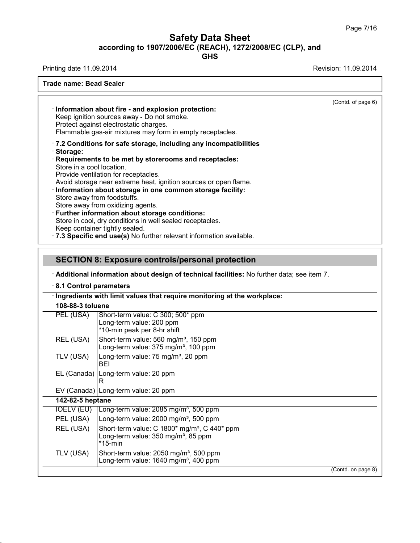**GHS**

Printing date 11.09.2014 **Revision: 11.09.2014** 

39.1.1

| <b>Trade name: Bead Sealer</b>                                        |                                                                                                                                                                                                                                                                                                                                                                                                                                                                                                                                                                                                         |                    |
|-----------------------------------------------------------------------|---------------------------------------------------------------------------------------------------------------------------------------------------------------------------------------------------------------------------------------------------------------------------------------------------------------------------------------------------------------------------------------------------------------------------------------------------------------------------------------------------------------------------------------------------------------------------------------------------------|--------------------|
|                                                                       | · Information about fire - and explosion protection:<br>Keep ignition sources away - Do not smoke.<br>Protect against electrostatic charges.<br>Flammable gas-air mixtures may form in empty receptacles.                                                                                                                                                                                                                                                                                                                                                                                               | (Contd. of page 6) |
| Storage:<br>Store in a cool location.                                 | .7.2 Conditions for safe storage, including any incompatibilities<br>Requirements to be met by storerooms and receptacles:<br>Provide ventilation for receptacles.<br>Avoid storage near extreme heat, ignition sources or open flame.<br>· Information about storage in one common storage facility:<br>Store away from foodstuffs.<br>Store away from oxidizing agents.<br><b>Further information about storage conditions:</b><br>Store in cool, dry conditions in well sealed receptacles.<br>Keep container tightly sealed.<br>.7.3 Specific end use(s) No further relevant information available. |                    |
|                                                                       | <b>SECTION 8: Exposure controls/personal protection</b>                                                                                                                                                                                                                                                                                                                                                                                                                                                                                                                                                 |                    |
|                                                                       | · Additional information about design of technical facilities: No further data; see item 7.                                                                                                                                                                                                                                                                                                                                                                                                                                                                                                             |                    |
| 8.1 Control parameters                                                |                                                                                                                                                                                                                                                                                                                                                                                                                                                                                                                                                                                                         |                    |
| 108-88-3 toluene                                                      | Ingredients with limit values that require monitoring at the workplace:                                                                                                                                                                                                                                                                                                                                                                                                                                                                                                                                 |                    |
| PEL (USA)                                                             | Short-term value: C 300; 500* ppm<br>Long-term value: 200 ppm<br>*10-min peak per 8-hr shift                                                                                                                                                                                                                                                                                                                                                                                                                                                                                                            |                    |
| REL (USA)                                                             | Short-term value: 560 mg/m <sup>3</sup> , 150 ppm<br>Long-term value: 375 mg/m <sup>3</sup> , 100 ppm                                                                                                                                                                                                                                                                                                                                                                                                                                                                                                   |                    |
| TLV (USA)                                                             | Long-term value: 75 mg/m <sup>3</sup> , 20 ppm<br>BEI                                                                                                                                                                                                                                                                                                                                                                                                                                                                                                                                                   |                    |
| EL (Canada)   Long-term value: 20 ppm<br>к                            |                                                                                                                                                                                                                                                                                                                                                                                                                                                                                                                                                                                                         |                    |
|                                                                       | EV (Canada) Long-term value: 20 ppm                                                                                                                                                                                                                                                                                                                                                                                                                                                                                                                                                                     |                    |
| 142-82-5 heptane                                                      |                                                                                                                                                                                                                                                                                                                                                                                                                                                                                                                                                                                                         |                    |
| <b>IOELV (EU)</b>                                                     | Long-term value: 2085 mg/m <sup>3</sup> , 500 ppm                                                                                                                                                                                                                                                                                                                                                                                                                                                                                                                                                       |                    |
| PEL (USA)                                                             | Long-term value: 2000 mg/m <sup>3</sup> , 500 ppm                                                                                                                                                                                                                                                                                                                                                                                                                                                                                                                                                       |                    |
| REL (USA)<br>Short-term value: C 1800* mg/m <sup>3</sup> , C 440* ppm |                                                                                                                                                                                                                                                                                                                                                                                                                                                                                                                                                                                                         |                    |

Long-term value: 350 mg/m<sup>3</sup>, 85 ppm \*15-min TLV (USA) Short-term value: 2050 mg/m<sup>3</sup>, 500 ppm Long-term value: 1640 mg/m<sup>3</sup>, 400 ppm

(Contd. on page 8)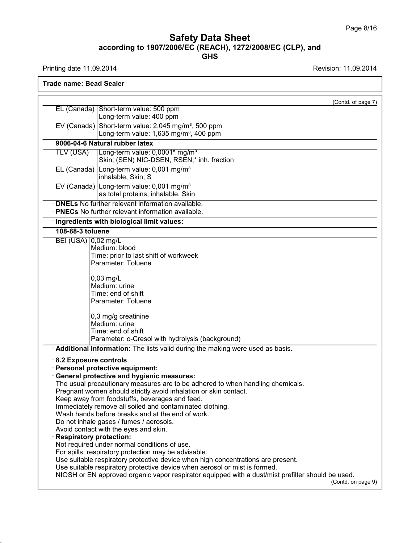Printing date 11.09.2014 **Revision: 11.09.2014** 

39.1.1

**Trade name: Bead Sealer**

|                                |                                                                                                                                                                | (Contd. of page 7) |
|--------------------------------|----------------------------------------------------------------------------------------------------------------------------------------------------------------|--------------------|
|                                | EL (Canada) Short-term value: 500 ppm<br>Long-term value: 400 ppm                                                                                              |                    |
|                                | EV (Canada) Short-term value: $2,045$ mg/m <sup>3</sup> , 500 ppm                                                                                              |                    |
|                                | Long-term value: 1,635 mg/m <sup>3</sup> , 400 ppm                                                                                                             |                    |
|                                | 9006-04-6 Natural rubber latex                                                                                                                                 |                    |
| TLV (USA)                      | Long-term value: 0,0001* mg/m <sup>3</sup>                                                                                                                     |                    |
|                                | Skin; (SEN) NIC-DSEN, RSEN;* inh. fraction                                                                                                                     |                    |
|                                | EL (Canada) Long-term value: 0,001 mg/m <sup>3</sup><br>inhalable, Skin; S                                                                                     |                    |
|                                | EV (Canada) Long-term value: 0,001 mg/m <sup>3</sup><br>as total proteins, inhalable, Skin                                                                     |                    |
|                                | · <b>DNELs</b> No further relevant information available.                                                                                                      |                    |
|                                | · PNECs No further relevant information available.                                                                                                             |                    |
|                                | · Ingredients with biological limit values:                                                                                                                    |                    |
| 108-88-3 toluene               |                                                                                                                                                                |                    |
| BEI (USA) 0,02 mg/L            | Medium: blood                                                                                                                                                  |                    |
|                                | Time: prior to last shift of workweek                                                                                                                          |                    |
|                                | Parameter: Toluene                                                                                                                                             |                    |
|                                | $0,03$ mg/L                                                                                                                                                    |                    |
|                                | Medium: urine                                                                                                                                                  |                    |
|                                | Time: end of shift                                                                                                                                             |                    |
|                                | Parameter: Toluene                                                                                                                                             |                    |
|                                | 0,3 mg/g creatinine                                                                                                                                            |                    |
|                                | Medium: urine                                                                                                                                                  |                    |
|                                | Time: end of shift                                                                                                                                             |                    |
|                                | Parameter: o-Cresol with hydrolysis (background)                                                                                                               |                    |
|                                | Additional information: The lists valid during the making were used as basis.                                                                                  |                    |
| 8.2 Exposure controls          | · Personal protective equipment:                                                                                                                               |                    |
|                                | General protective and hygienic measures:                                                                                                                      |                    |
|                                | The usual precautionary measures are to be adhered to when handling chemicals.                                                                                 |                    |
|                                | Pregnant women should strictly avoid inhalation or skin contact.                                                                                               |                    |
|                                | Keep away from foodstuffs, beverages and feed.                                                                                                                 |                    |
|                                | Immediately remove all soiled and contaminated clothing.<br>Wash hands before breaks and at the end of work.                                                   |                    |
|                                | Do not inhale gases / fumes / aerosols.                                                                                                                        |                    |
|                                | Avoid contact with the eyes and skin.                                                                                                                          |                    |
| <b>Respiratory protection:</b> |                                                                                                                                                                |                    |
|                                | Not required under normal conditions of use.                                                                                                                   |                    |
|                                | For spills, respiratory protection may be advisable.                                                                                                           |                    |
|                                | Use suitable respiratory protective device when high concentrations are present.<br>Use suitable respiratory protective device when aerosol or mist is formed. |                    |
|                                | NIOSH or EN approved organic vapor respirator equipped with a dust/mist prefilter should be used.                                                              |                    |
|                                |                                                                                                                                                                | (Contd. on page 9) |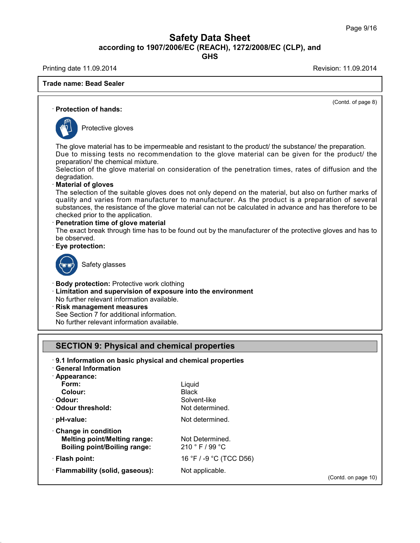**GHS**

Printing date 11.09.2014 **Printing date 11.09.2014** 

## **Trade name: Bead Sealer**

39.1.1

(Contd. of page 8) · **Protection of hands:** Protective gloves The glove material has to be impermeable and resistant to the product/ the substance/ the preparation. Due to missing tests no recommendation to the glove material can be given for the product/ the preparation/ the chemical mixture. Selection of the glove material on consideration of the penetration times, rates of diffusion and the degradation. · **Material of gloves** The selection of the suitable gloves does not only depend on the material, but also on further marks of quality and varies from manufacturer to manufacturer. As the product is a preparation of several substances, the resistance of the glove material can not be calculated in advance and has therefore to be checked prior to the application. · **Penetration time of glove material** The exact break through time has to be found out by the manufacturer of the protective gloves and has to be observed. · **Eye protection:** Safety glasses · **Body protection:** Protective work clothing · **Limitation and supervision of exposure into the environment** No further relevant information available. · **Risk management measures** See Section 7 for additional information. No further relevant information available. **SECTION 9: Physical and chemical properties** · **9.1 Information on basic physical and chemical properties** · **General Information**

· **Appearance: Form:** Liquid **Colour:** Black **Colour:** Solvent-like<br> **Colour threshold:** Solvent-like<br>
Solvent-like  $\cdot$  Odour threshold: **bH**-value: Not determined. · **Change in condition Melting point/Melting range:** Not Determined. **Boiling point/Boiling range:** 210 ° F / 99 °C · **Flash point:** 16 °F / -9 °C (TCC D56) · **Flammability (solid, gaseous):** Not applicable.

(Contd. on page 10)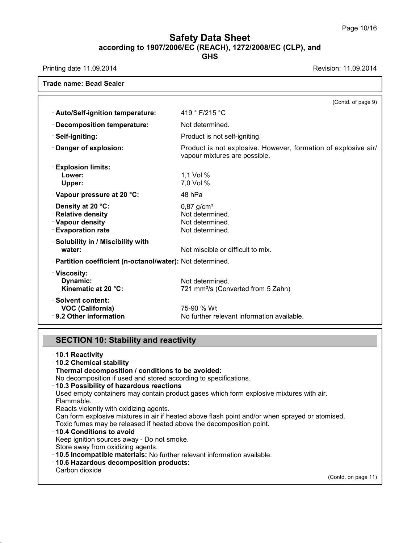٦

# **Safety Data Sheet according to 1907/2006/EC (REACH), 1272/2008/EC (CLP),and**

**GHS**

Printing date 11.09.2014 **Revision: 11.09.2014** 

|                                                                                                | (Contd. of page 9)                                                                              |
|------------------------------------------------------------------------------------------------|-------------------------------------------------------------------------------------------------|
| · Auto/Self-ignition temperature:                                                              | 419 ° F/215 °C                                                                                  |
| · Decomposition temperature:                                                                   | Not determined.                                                                                 |
| · Self-igniting:                                                                               | Product is not self-igniting.                                                                   |
| Danger of explosion:                                                                           | Product is not explosive. However, formation of explosive air/<br>vapour mixtures are possible. |
| <b>Explosion limits:</b><br>Lower:                                                             | 1,1 Vol %                                                                                       |
| Upper:                                                                                         | 7,0 Vol %                                                                                       |
| · Vapour pressure at 20 °C:                                                                    | 48 hPa                                                                                          |
| $\cdot$ Density at 20 °C:<br>· Relative density<br>· Vapour density<br><b>Evaporation rate</b> | $0,87$ g/cm <sup>3</sup><br>Not determined.<br>Not determined.<br>Not determined.               |
| · Solubility in / Miscibility with<br>water:                                                   | Not miscible or difficult to mix.                                                               |
| · Partition coefficient (n-octanol/water): Not determined.                                     |                                                                                                 |
| · Viscosity:<br>Dynamic:<br>Kinematic at 20 °C:                                                | Not determined.<br>721 mm <sup>2</sup> /s (Converted from 5 Zahn)                               |
| · Solvent content:<br><b>VOC (California)</b><br>9.2 Other information                         | 75-90 % Wt<br>No further relevant information available.                                        |

## **SECTION 10: Stability and reactivity**

39.1.1

| $\cdot$ 10.1 Reactivity<br>10.2 Chemical stability                                              |                     |
|-------------------------------------------------------------------------------------------------|---------------------|
| · Thermal decomposition / conditions to be avoided:                                             |                     |
| No decomposition if used and stored according to specifications.                                |                     |
| 10.3 Possibility of hazardous reactions                                                         |                     |
| Used empty containers may contain product gases which form explosive mixtures with air.         |                     |
| Flammable.                                                                                      |                     |
| Reacts violently with oxidizing agents.                                                         |                     |
| Can form explosive mixtures in air if heated above flash point and/or when sprayed or atomised. |                     |
| Toxic fumes may be released if heated above the decomposition point.                            |                     |
| $\cdot$ 10.4 Conditions to avoid                                                                |                     |
| Keep ignition sources away - Do not smoke.                                                      |                     |
| Store away from oxidizing agents.                                                               |                     |
| . 10.5 Incompatible materials: No further relevant information available.                       |                     |
| · 10.6 Hazardous decomposition products:                                                        |                     |
| Carbon dioxide                                                                                  |                     |
|                                                                                                 | (Contd. on page 11) |
|                                                                                                 |                     |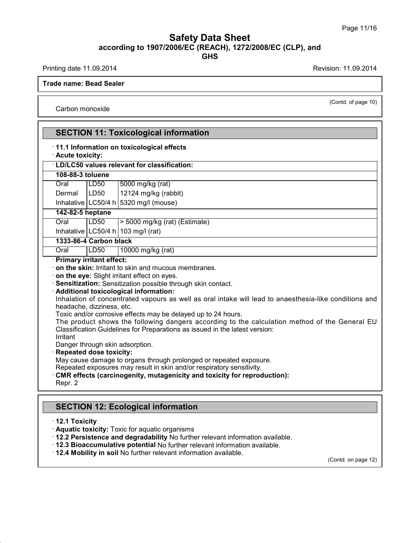Printing date 11.09.2014 **Revision: 11.09.2014** 

(Contd. of page 10)

**Trade name: Bead Sealer**

Carbon monoxide

| · Acute toxicity:                                                                                                   | · 11.1 Information on toxicological effects                                                                                                                                                                                                                                                                                                                                                                                                              |
|---------------------------------------------------------------------------------------------------------------------|----------------------------------------------------------------------------------------------------------------------------------------------------------------------------------------------------------------------------------------------------------------------------------------------------------------------------------------------------------------------------------------------------------------------------------------------------------|
|                                                                                                                     | · LD/LC50 values relevant for classification:                                                                                                                                                                                                                                                                                                                                                                                                            |
| 108-88-3 toluene                                                                                                    |                                                                                                                                                                                                                                                                                                                                                                                                                                                          |
| Oral<br>LD50                                                                                                        | 5000 mg/kg (rat)                                                                                                                                                                                                                                                                                                                                                                                                                                         |
| LD50<br>Dermal                                                                                                      | 12124 mg/kg (rabbit)                                                                                                                                                                                                                                                                                                                                                                                                                                     |
|                                                                                                                     | Inhalative $\lfloor$ LC50/4 h $\rfloor$ 5320 mg/l (mouse)                                                                                                                                                                                                                                                                                                                                                                                                |
| 142-82-5 heptane                                                                                                    |                                                                                                                                                                                                                                                                                                                                                                                                                                                          |
| LD50<br>Oral                                                                                                        | > 5000 mg/kg (rat) (Estimate)                                                                                                                                                                                                                                                                                                                                                                                                                            |
| Inhalative $ LC50/4 h 103 mg/l$ (rat)                                                                               |                                                                                                                                                                                                                                                                                                                                                                                                                                                          |
| 1333-86-4 Carbon black                                                                                              |                                                                                                                                                                                                                                                                                                                                                                                                                                                          |
| Oral<br>LD <sub>50</sub><br>· Primary irritant effect:                                                              | 10000 mg/kg (rat)                                                                                                                                                                                                                                                                                                                                                                                                                                        |
| · Additional toxicological information:<br>headache, dizziness, etc.<br>Irritant<br>Danger through skin adsorption. | Sensitization: Sensitization possible through skin contact.<br>Inhalation of concentrated vapours as well as oral intake will lead to anaesthesia-like conditions and<br>Toxic and/or corrosive effects may be delayed up to 24 hours.<br>The product shows the following dangers according to the calculation method of the General EU<br>Classification Guidelines for Preparations as issued in the latest version:<br><b>Repeated dose toxicity:</b> |

· **12.2 Persistence and degradability** No further relevant information available.

- · **12.3 Bioaccumulative potential** No further relevant information available.
- · **12.4 Mobility in soil** No further relevant information available.

39.1.1

(Contd. on page 12)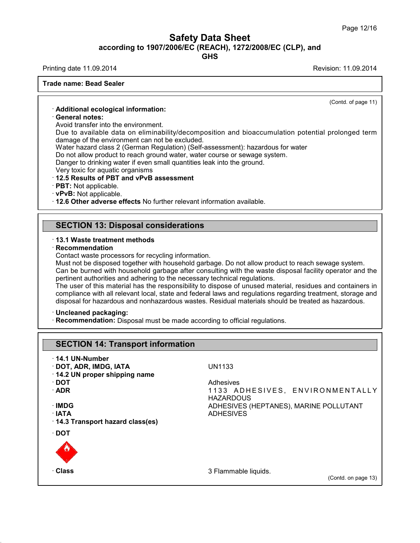**GHS**

Printing date 11.09.2014 **Printing date 11.09.2014** 

**Trade name: Bead Sealer**

(Contd. of page 11)

### · **Additional ecological information:**

### · **General notes:**

Avoid transfer into the environment.

Due to available data on eliminability/decomposition and bioaccumulation potential prolonged term damage of the environment can not be excluded.

Water hazard class 2 (German Regulation) (Self-assessment): hazardous for water

Do not allow product to reach ground water, water course or sewage system.

Danger to drinking water if even small quantities leak into the ground.

Very toxic for aquatic organisms

### · **12.5 Results of PBT and vPvB assessment**

- · **PBT:** Not applicable.
- · **vPvB:** Not applicable.

· **12.6 Other adverse effects** No further relevant information available.

### **SECTION 13: Disposal considerations**

#### · **13.1 Waste treatment methods**

· **Recommendation**

Contact waste processors for recycling information.

Must not be disposed together with household garbage. Do not allow product to reach sewage system. Can be burned with household garbage after consulting with the waste disposal facility operator and the pertinent authorities and adhering to the necessary technical regulations.

The user of this material has the responsibility to dispose of unused material, residues and containers in compliance with all relevant local, state and federal laws and regulations regarding treatment, storage and disposal for hazardous and nonhazardous wastes. Residual materials should be treated as hazardous.

#### · **Uncleaned packaging:**

39.1.1

· **Recommendation:** Disposal must be made according to official regulations.

| <b>SECTION 14: Transport information</b> |                                                     |
|------------------------------------------|-----------------------------------------------------|
| $\cdot$ 14.1 UN-Number                   |                                                     |
| · DOT, ADR, IMDG, IATA                   | UN1133                                              |
| 14.2 UN proper shipping name             |                                                     |
| ∙ DOT                                    | Adhesives                                           |
| $\cdot$ ADR                              | 1133 ADHESIVES, ENVIRONMENTALLY<br><b>HAZARDOUS</b> |
| ∙IMDG                                    | ADHESIVES (HEPTANES), MARINE POLLUTANT              |
| $\cdot$ IATA                             | <b>ADHESIVES</b>                                    |
| 14.3 Transport hazard class(es)          |                                                     |
| ∙ DOT                                    |                                                     |
|                                          |                                                     |
| · Class                                  | 3 Flammable liquids.                                |
|                                          | (Contd. on page 13)                                 |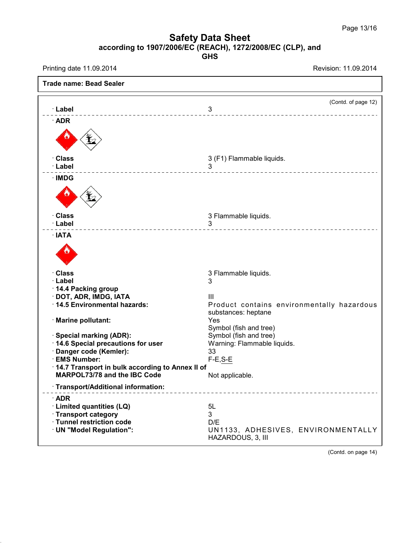Printing date 11.09.2014 **Revision: 11.09.2014** 

39.1.1

| <b>Trade name: Bead Sealer</b>                                                         |                                                                   |
|----------------------------------------------------------------------------------------|-------------------------------------------------------------------|
| · Label                                                                                | (Contd. of page 12)<br>3                                          |
| $\cdot$ ADR                                                                            | ___________________________                                       |
|                                                                                        |                                                                   |
| · Class                                                                                | 3 (F1) Flammable liquids.                                         |
| · Label                                                                                | 3<br>_________________________                                    |
| ∴IMDG                                                                                  |                                                                   |
|                                                                                        |                                                                   |
| · Class                                                                                | 3 Flammable liquids.                                              |
| · Label                                                                                | 3                                                                 |
| $\cdot$ IATA                                                                           |                                                                   |
|                                                                                        |                                                                   |
| · Class                                                                                | 3 Flammable liquids.                                              |
| · Label                                                                                | 3                                                                 |
| 14.4 Packing group                                                                     |                                                                   |
| · DOT, ADR, IMDG, IATA                                                                 | $\mathbf{III}$                                                    |
| · 14.5 Environmental hazards:                                                          | Product contains environmentally hazardous<br>substances: heptane |
| · Marine pollutant:                                                                    | Yes                                                               |
|                                                                                        | Symbol (fish and tree)                                            |
| · Special marking (ADR):                                                               | Symbol (fish and tree)                                            |
| 14.6 Special precautions for user                                                      | Warning: Flammable liquids.                                       |
| · Danger code (Kemler):                                                                | 33                                                                |
| · EMS Number:                                                                          | $F-E, S-E$                                                        |
| 14.7 Transport in bulk according to Annex II of<br><b>MARPOL73/78 and the IBC Code</b> | Not applicable.                                                   |
| · Transport/Additional information:                                                    |                                                                   |
| $\cdot$ ADR                                                                            |                                                                   |
| · Limited quantities (LQ)                                                              | 5L                                                                |
| · Transport category                                                                   | 3                                                                 |
| · Tunnel restriction code                                                              | D/E                                                               |
| · UN "Model Regulation":                                                               | UN1133, ADHESIVES, ENVIRONMENTALLY<br>HAZARDOUS, 3, III           |

(Contd. on page 14)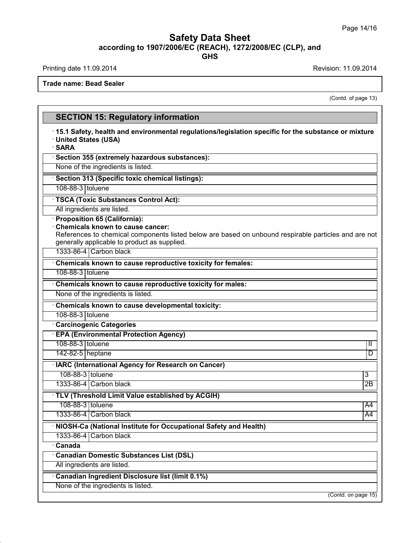**GHS**

Printing date 11.09.2014 **Printing date 11.09.2014** 

39.1.1

**Trade name: Bead Sealer**

(Contd. of page 13)

## **SECTION 15: Regulatory information** · **15.1 Safety, health and environmental regulations/legislation specific for the substance ormixture** · **United States (USA)** · **SARA** · **Section 355 (extremely hazardous substances):** None of the ingredients is listed. · **Section 313 (Specific toxic chemical listings):** 108-88-3 toluene · **TSCA (Toxic Substances Control Act):** All ingredients are listed. · **Proposition 65 (California):** · **Chemicals known to cause cancer:** References to chemical components listed below are based on unbound respirable particles and are not generally applicable to product as supplied. 1333-86-4 Carbon black · **Chemicals known to cause reproductive toxicity for females:** 108-88-3 toluene · **Chemicals known to cause reproductive toxicity for males:** None of the ingredients is listed. · **Chemicals known to cause developmental toxicity:** 108-88-3 toluene · **Carcinogenic Categories** · **EPA (Environmental Protection Agency)** 108-88-3 toluene III version of the state of the state of the state of the state of the state of the state of the state of the state of the state of the state of the state of the state of the state of the state of the stat 142-82-5 heptane D · **IARC (International Agency for Research on Cancer)** 108-88-3 toluene 3 1333-86-4 Carbon black 2B · **TLV (Threshold Limit Value established by ACGIH)** 108-88-3 toluene A44 1333-86-4 Carbon black A4 · **NIOSH-Ca (National Institute for Occupational Safety and Health)** 1333-86-4 Carbon black · **Canada** · **Canadian Domestic Substances List (DSL)** All ingredients are listed. · **Canadian Ingredient Disclosure list (limit 0.1%)** None of the ingredients is listed. (Contd. on page 15)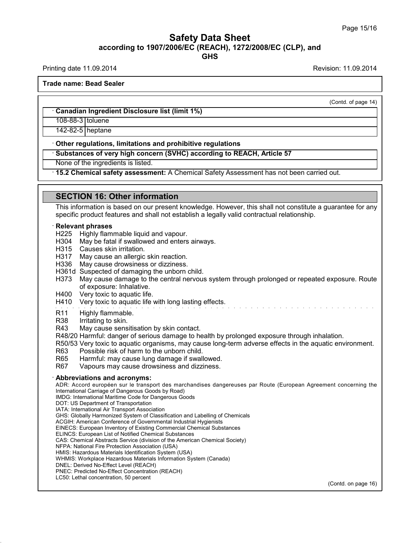Printing date 11.09.2014 **Revision: 11.09.2014** Revision: 11.09.2014

(Contd. of page 14)

**Trade name: Bead Sealer**

· **Canadian Ingredient Disclosure list (limit 1%)**

108-88-3 toluene

142-82-5 heptane

· **Other regulations, limitations and prohibitive regulations**

· **Substances of very high concern (SVHC) according to REACH, Article 57**

None of the ingredients is listed.

· **15.2 Chemical safety assessment:** A Chemical Safety Assessment has not been carried out.

### **SECTION 16: Other information**

This information is based on our present knowledge. However, this shall not constitute a guarantee for any specific product features and shall not establish a legally valid contractual relationship.

#### · **Relevant phrases**

- H225 Highly flammable liquid and vapour.
- H304 May be fatal if swallowed and enters airways.
- H315 Causes skin irritation.
- H317 May cause an allergic skin reaction.
- H336 May cause drowsiness or dizziness.
- H361d Suspected of damaging the unborn child.
- H373 May cause damage to the central nervous system through prolonged or repeated exposure. Route of exposure: Inhalative.
- H400 Very toxic to aquatic life.
- H410 Very toxic to aquatic life with long lasting effects.
- R11 Highly flammable.<br>R38 Irritating to skin.
- R38 Irritating to skin.<br>R43 May cause sens
- May cause sensitisation by skin contact.
- R48/20 Harmful: danger of serious damage to health by prolonged exposure through inhalation.

R50/53 Very toxic to aquatic organisms, may cause long-term adverse effects in the aquatic environment.

- R63 Possible risk of harm to the unborn child.<br>R65 Harmful: may cause lung damage if swall
- R65 Harmful: may cause lung damage if swallowed.<br>R67 Vapours may cause drowsiness and dizziness.
- Vapours may cause drowsiness and dizziness.

#### · **Abbreviations and acronyms:**

ADR: Accord européen sur le transport des marchandises dangereuses par Route (European Agreement concerning the International Carriage of Dangerous Goods by Road)

- IMDG: International Maritime Code for Dangerous Goods
- DOT: US Department of Transportation
- IATA: International Air Transport Association
- GHS: Globally Harmonized System of Classification and Labelling of Chemicals
- ACGIH: American Conference of Governmental Industrial Hygienists
- EINECS: European Inventory of Existing Commercial Chemical Substances
- ELINCS: European List of Notified Chemical Substances
- CAS: Chemical Abstracts Service (division of the American Chemical Society)
- NFPA: National Fire Protection Association (USA)
- HMIS: Hazardous Materials Identification System (USA) WHMIS: Workplace Hazardous Materials Information System (Canada)
- DNEL: Derived No-Effect Level (REACH)
- PNEC: Predicted No-Effect Concentration (REACH)
- LC50: Lethal concentration, 50 percent

39.1.1

(Contd. on page 16)